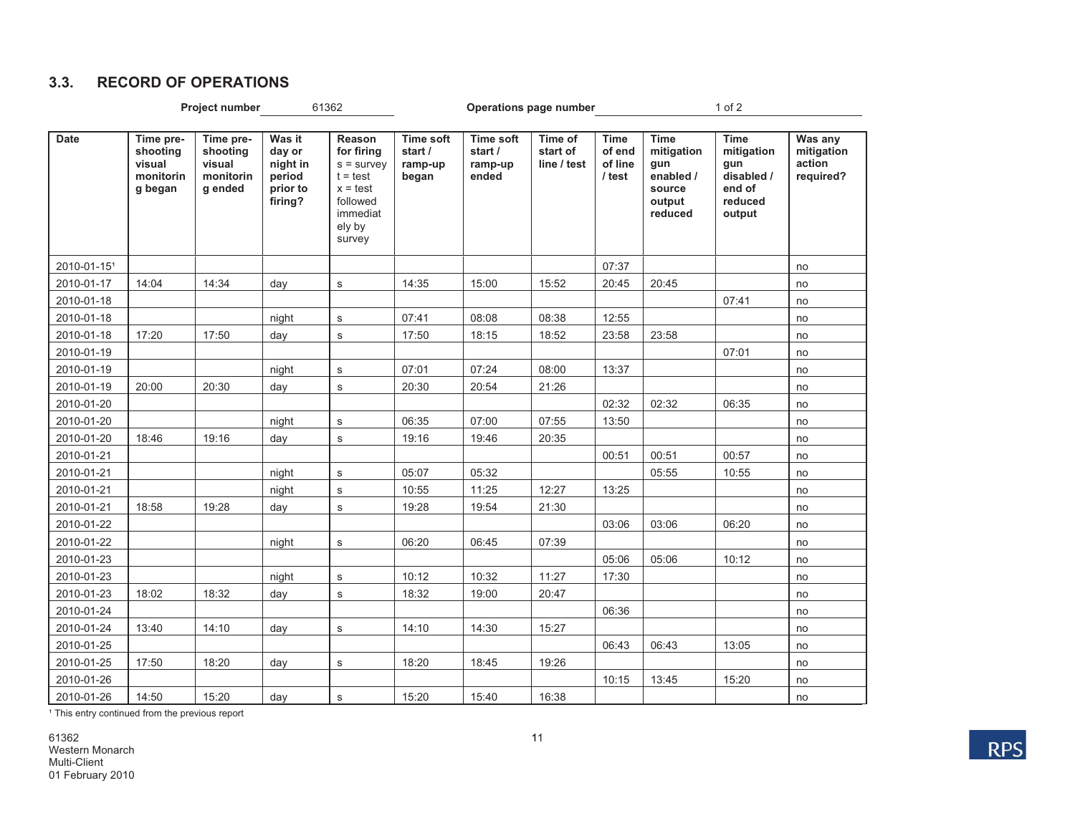### **3.3. RECORD OF OPERATIONS**

|             | Project number                                          |                                                         |                                                               | 61362                                                                                                               |                                                 |                                                 | Operations page number             |                                            | $1$ of $2$                                                                   |                                                                               |                                              |  |
|-------------|---------------------------------------------------------|---------------------------------------------------------|---------------------------------------------------------------|---------------------------------------------------------------------------------------------------------------------|-------------------------------------------------|-------------------------------------------------|------------------------------------|--------------------------------------------|------------------------------------------------------------------------------|-------------------------------------------------------------------------------|----------------------------------------------|--|
| <b>Date</b> | Time pre-<br>shooting<br>visual<br>monitorin<br>g began | Time pre-<br>shooting<br>visual<br>monitorin<br>g ended | Was it<br>day or<br>night in<br>period<br>prior to<br>firing? | <b>Reason</b><br>for firing<br>$s =$ survey<br>$t = test$<br>$x = test$<br>followed<br>immediat<br>ely by<br>survey | <b>Time soft</b><br>start /<br>ramp-up<br>began | <b>Time soft</b><br>start /<br>ramp-up<br>ended | Time of<br>start of<br>line / test | <b>Time</b><br>of end<br>of line<br>/ test | <b>Time</b><br>mitigation<br>gun<br>enabled /<br>source<br>output<br>reduced | <b>Time</b><br>mitigation<br>gun<br>disabled /<br>end of<br>reduced<br>output | Was any<br>mitigation<br>action<br>required? |  |
| 2010-01-151 |                                                         |                                                         |                                                               |                                                                                                                     |                                                 |                                                 |                                    | 07:37                                      |                                                                              |                                                                               | no                                           |  |
| 2010-01-17  | 14:04                                                   | 14:34                                                   | day                                                           | $\mathbf S$                                                                                                         | 14:35                                           | 15:00                                           | 15:52                              | 20:45                                      | 20:45                                                                        |                                                                               | no                                           |  |
| 2010-01-18  |                                                         |                                                         |                                                               |                                                                                                                     |                                                 |                                                 |                                    |                                            |                                                                              | 07:41                                                                         | no                                           |  |
| 2010-01-18  |                                                         |                                                         | night                                                         | $\mathbf s$                                                                                                         | 07:41                                           | 08:08                                           | 08:38                              | 12:55                                      |                                                                              |                                                                               | no                                           |  |
| 2010-01-18  | 17:20                                                   | 17:50                                                   | day                                                           | $\mathbf s$                                                                                                         | 17:50                                           | 18:15                                           | 18:52                              | 23:58                                      | 23:58                                                                        |                                                                               | no                                           |  |
| 2010-01-19  |                                                         |                                                         |                                                               |                                                                                                                     |                                                 |                                                 |                                    |                                            |                                                                              | 07:01                                                                         | no                                           |  |
| 2010-01-19  |                                                         |                                                         | night                                                         | $\mathbf S$                                                                                                         | 07:01                                           | 07:24                                           | 08:00                              | 13:37                                      |                                                                              |                                                                               | no                                           |  |
| 2010-01-19  | 20:00                                                   | 20:30                                                   | day                                                           | $\mathbf s$                                                                                                         | 20:30                                           | 20:54                                           | 21:26                              |                                            |                                                                              |                                                                               | no                                           |  |
| 2010-01-20  |                                                         |                                                         |                                                               |                                                                                                                     |                                                 |                                                 |                                    | 02:32                                      | 02:32                                                                        | 06:35                                                                         | no                                           |  |
| 2010-01-20  |                                                         |                                                         | night                                                         | $\mathbf S$                                                                                                         | 06:35                                           | 07:00                                           | 07:55                              | 13:50                                      |                                                                              |                                                                               | no                                           |  |
| 2010-01-20  | 18:46                                                   | 19:16                                                   | day                                                           | $\mathbf s$                                                                                                         | 19:16                                           | 19:46                                           | 20:35                              |                                            |                                                                              |                                                                               | no                                           |  |
| 2010-01-21  |                                                         |                                                         |                                                               |                                                                                                                     |                                                 |                                                 |                                    | 00:51                                      | 00:51                                                                        | 00:57                                                                         | no                                           |  |
| 2010-01-21  |                                                         |                                                         | night                                                         | $\mathbf s$                                                                                                         | 05:07                                           | 05:32                                           |                                    |                                            | 05:55                                                                        | 10:55                                                                         | no                                           |  |
| 2010-01-21  |                                                         |                                                         | night                                                         | $\mathbf S$                                                                                                         | 10:55                                           | 11:25                                           | 12:27                              | 13:25                                      |                                                                              |                                                                               | no                                           |  |
| 2010-01-21  | 18:58                                                   | 19:28                                                   | day                                                           | $\mathbf s$                                                                                                         | 19:28                                           | 19:54                                           | 21:30                              |                                            |                                                                              |                                                                               | no                                           |  |
| 2010-01-22  |                                                         |                                                         |                                                               |                                                                                                                     |                                                 |                                                 |                                    | 03:06                                      | 03:06                                                                        | 06:20                                                                         | no                                           |  |
| 2010-01-22  |                                                         |                                                         | night                                                         | $\mathbf s$                                                                                                         | 06:20                                           | 06:45                                           | 07:39                              |                                            |                                                                              |                                                                               | no                                           |  |
| 2010-01-23  |                                                         |                                                         |                                                               |                                                                                                                     |                                                 |                                                 |                                    | 05:06                                      | 05:06                                                                        | 10:12                                                                         | no                                           |  |
| 2010-01-23  |                                                         |                                                         | night                                                         | $\mathbf s$                                                                                                         | 10:12                                           | 10:32                                           | 11:27                              | 17:30                                      |                                                                              |                                                                               | no                                           |  |
| 2010-01-23  | 18:02                                                   | 18:32                                                   | day                                                           | $\mathbf s$                                                                                                         | 18:32                                           | 19:00                                           | 20:47                              |                                            |                                                                              |                                                                               | no                                           |  |
| 2010-01-24  |                                                         |                                                         |                                                               |                                                                                                                     |                                                 |                                                 |                                    | 06:36                                      |                                                                              |                                                                               | no                                           |  |
| 2010-01-24  | 13:40                                                   | 14:10                                                   | day                                                           | $\mathbf S$                                                                                                         | 14:10                                           | 14:30                                           | 15:27                              |                                            |                                                                              |                                                                               | no                                           |  |
| 2010-01-25  |                                                         |                                                         |                                                               |                                                                                                                     |                                                 |                                                 |                                    | 06:43                                      | 06:43                                                                        | 13:05                                                                         | no                                           |  |
| 2010-01-25  | 17:50                                                   | 18:20                                                   | day                                                           | $\mathbf s$                                                                                                         | 18:20                                           | 18:45                                           | 19:26                              |                                            |                                                                              |                                                                               | no                                           |  |
| 2010-01-26  |                                                         |                                                         |                                                               |                                                                                                                     |                                                 |                                                 |                                    | 10:15                                      | 13:45                                                                        | 15:20                                                                         | no                                           |  |
| 2010-01-26  | 14:50                                                   | 15:20                                                   | day                                                           | $\mathbf S$                                                                                                         | 15:20                                           | 15:40                                           | 16:38                              |                                            |                                                                              |                                                                               | no                                           |  |

<sup>1</sup> This entry continued from the previous report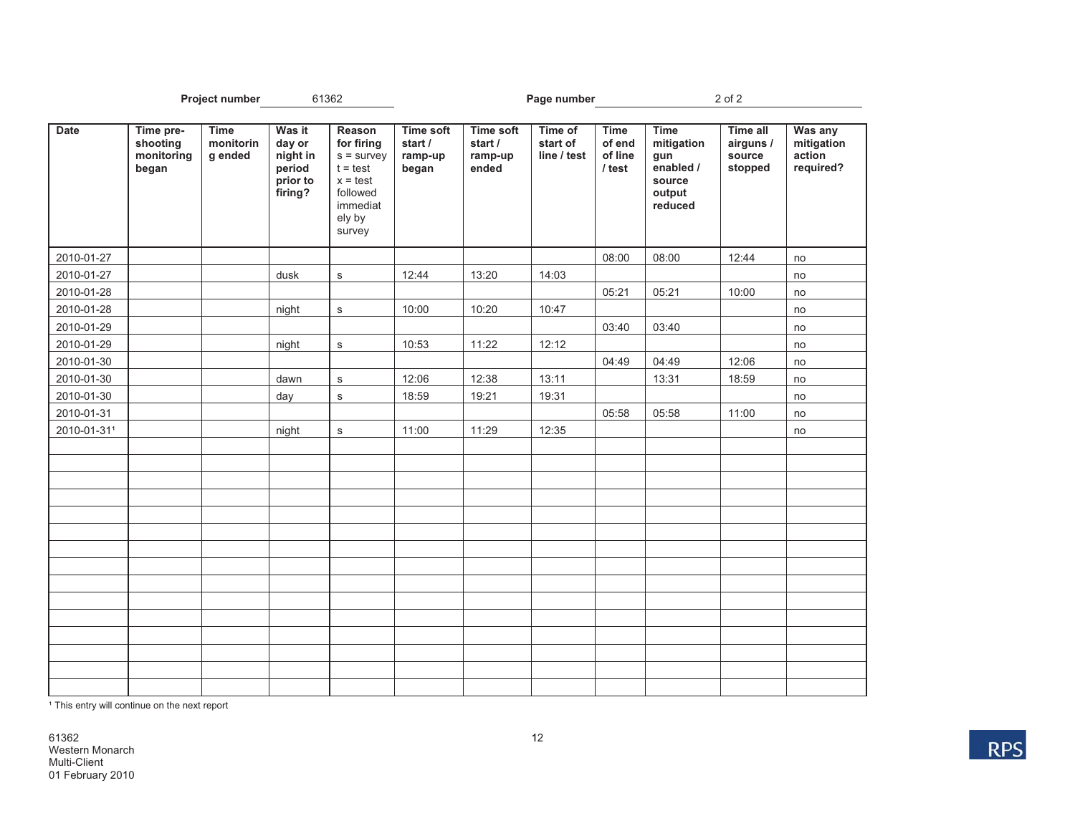|             | <b>Project number</b><br>61362               |                                     |                                                               |                                                                                                              |                                                 | Page number                                     |                                    | 2 of 2                                       |                                                                              |                                                   |                                              |
|-------------|----------------------------------------------|-------------------------------------|---------------------------------------------------------------|--------------------------------------------------------------------------------------------------------------|-------------------------------------------------|-------------------------------------------------|------------------------------------|----------------------------------------------|------------------------------------------------------------------------------|---------------------------------------------------|----------------------------------------------|
| <b>Date</b> | Time pre-<br>shooting<br>monitoring<br>began | <b>Time</b><br>monitorin<br>g ended | Was it<br>day or<br>night in<br>period<br>prior to<br>firing? | Reason<br>for firing<br>$s =$ survey<br>$t = test$<br>$x = test$<br>followed<br>immediat<br>ely by<br>survey | <b>Time soft</b><br>start /<br>ramp-up<br>began | <b>Time soft</b><br>start /<br>ramp-up<br>ended | Time of<br>start of<br>line / test | <b>Time</b><br>of end<br>of line<br>$l$ test | <b>Time</b><br>mitigation<br>gun<br>enabled /<br>source<br>output<br>reduced | <b>Time all</b><br>airguns /<br>source<br>stopped | Was any<br>mitigation<br>action<br>required? |
| 2010-01-27  |                                              |                                     |                                                               |                                                                                                              |                                                 |                                                 |                                    | 08:00                                        | 08:00                                                                        | 12:44                                             | no                                           |
| 2010-01-27  |                                              |                                     | dusk                                                          | $\mathbf s$                                                                                                  | 12:44                                           | 13:20                                           | 14:03                              |                                              |                                                                              |                                                   | no                                           |
| 2010-01-28  |                                              |                                     |                                                               |                                                                                                              |                                                 |                                                 |                                    | 05:21                                        | 05:21                                                                        | 10:00                                             | no                                           |
| 2010-01-28  |                                              |                                     | night                                                         | $\mathbf s$                                                                                                  | 10:00                                           | 10:20                                           | 10:47                              |                                              |                                                                              |                                                   | no                                           |
| 2010-01-29  |                                              |                                     |                                                               |                                                                                                              |                                                 |                                                 |                                    | 03:40                                        | 03:40                                                                        |                                                   | no                                           |
| 2010-01-29  |                                              |                                     | night                                                         | $\mathbf s$                                                                                                  | 10:53                                           | 11:22                                           | 12:12                              |                                              |                                                                              |                                                   | no                                           |
| 2010-01-30  |                                              |                                     |                                                               |                                                                                                              |                                                 |                                                 |                                    | 04:49                                        | 04:49                                                                        | 12:06                                             | no                                           |
| 2010-01-30  |                                              |                                     | dawn                                                          | $\mathbf S$                                                                                                  | 12:06                                           | 12:38                                           | 13:11                              |                                              | 13:31                                                                        | 18:59                                             | no                                           |
| 2010-01-30  |                                              |                                     | day                                                           | $\mathbf s$                                                                                                  | 18:59                                           | 19:21                                           | 19:31                              |                                              |                                                                              |                                                   | no                                           |
| 2010-01-31  |                                              |                                     |                                                               |                                                                                                              |                                                 |                                                 |                                    | 05:58                                        | 05:58                                                                        | 11:00                                             | no                                           |
| 2010-01-311 |                                              |                                     | night                                                         | $\mathbf s$                                                                                                  | 11:00                                           | 11:29                                           | 12:35                              |                                              |                                                                              |                                                   | no                                           |
|             |                                              |                                     |                                                               |                                                                                                              |                                                 |                                                 |                                    |                                              |                                                                              |                                                   |                                              |
|             |                                              |                                     |                                                               |                                                                                                              |                                                 |                                                 |                                    |                                              |                                                                              |                                                   |                                              |
|             |                                              |                                     |                                                               |                                                                                                              |                                                 |                                                 |                                    |                                              |                                                                              |                                                   |                                              |
|             |                                              |                                     |                                                               |                                                                                                              |                                                 |                                                 |                                    |                                              |                                                                              |                                                   |                                              |
|             |                                              |                                     |                                                               |                                                                                                              |                                                 |                                                 |                                    |                                              |                                                                              |                                                   |                                              |
|             |                                              |                                     |                                                               |                                                                                                              |                                                 |                                                 |                                    |                                              |                                                                              |                                                   |                                              |
|             |                                              |                                     |                                                               |                                                                                                              |                                                 |                                                 |                                    |                                              |                                                                              |                                                   |                                              |
|             |                                              |                                     |                                                               |                                                                                                              |                                                 |                                                 |                                    |                                              |                                                                              |                                                   |                                              |
|             |                                              |                                     |                                                               |                                                                                                              |                                                 |                                                 |                                    |                                              |                                                                              |                                                   |                                              |
|             |                                              |                                     |                                                               |                                                                                                              |                                                 |                                                 |                                    |                                              |                                                                              |                                                   |                                              |
|             |                                              |                                     |                                                               |                                                                                                              |                                                 |                                                 |                                    |                                              |                                                                              |                                                   |                                              |
|             |                                              |                                     |                                                               |                                                                                                              |                                                 |                                                 |                                    |                                              |                                                                              |                                                   |                                              |
|             |                                              |                                     |                                                               |                                                                                                              |                                                 |                                                 |                                    |                                              |                                                                              |                                                   |                                              |
|             |                                              |                                     |                                                               |                                                                                                              |                                                 |                                                 |                                    |                                              |                                                                              |                                                   |                                              |
|             |                                              |                                     |                                                               |                                                                                                              |                                                 |                                                 |                                    |                                              |                                                                              |                                                   |                                              |

<sup>1</sup> This entry will continue on the next report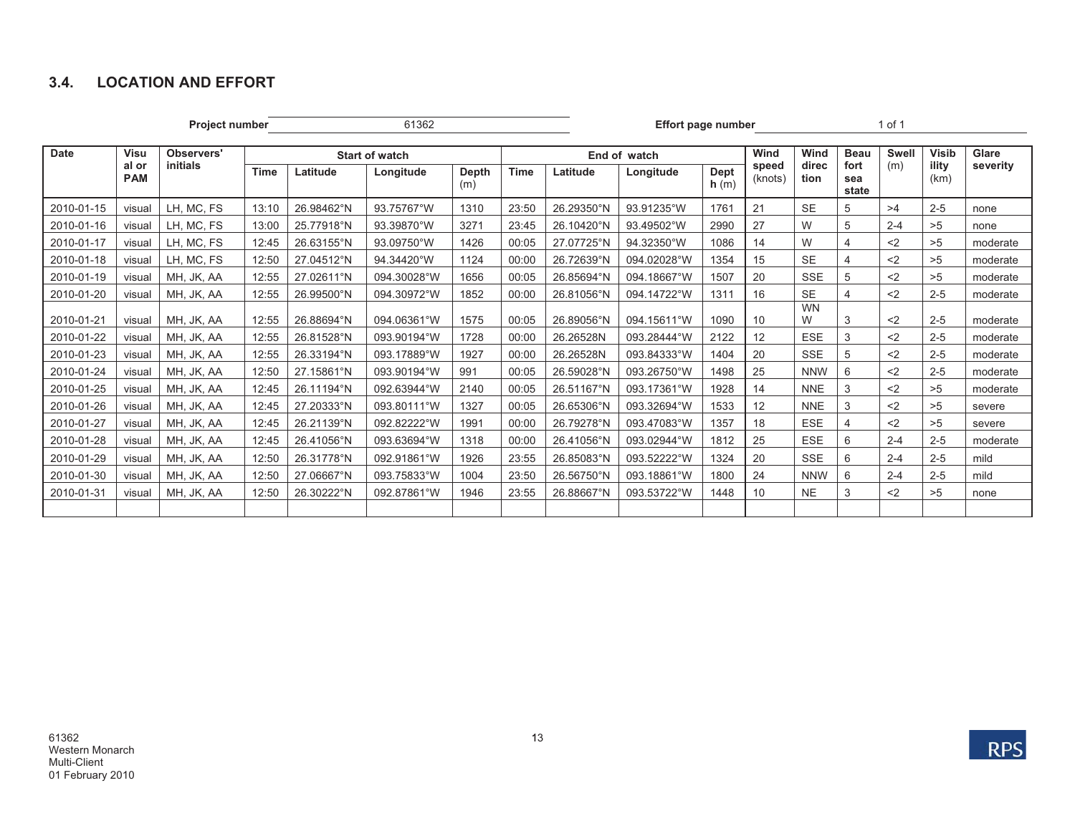## **3.4. LOCATION AND EFFORT**

**Project number** 1 of 1

| Date       | <b>Visu</b>         | Observers' | <b>Start of watch</b> |            |             |              | End of watch |            |             |              | Wind             | Wind           | <b>Beau</b><br>Swell | <b>Visib</b> | Glare         |          |
|------------|---------------------|------------|-----------------------|------------|-------------|--------------|--------------|------------|-------------|--------------|------------------|----------------|----------------------|--------------|---------------|----------|
|            | al or<br><b>PAM</b> | initials   | Time                  | Latitude   | Longitude   | Depth<br>(m) | <b>Time</b>  | Latitude   | Longitude   | Dept<br>h(m) | speed<br>(knots) | direc<br>tion  | fort<br>sea<br>state | (m)          | ility<br>(km) | severity |
| 2010-01-15 | visual              | LH, MC, FS | 13:10                 | 26.98462°N | 93.75767°W  | 1310         | 23:50        | 26.29350°N | 93.91235°W  | 1761         | 21               | <b>SE</b>      | 5                    | >4           | $2 - 5$       | none     |
| 2010-01-16 | visual              | LH, MC, FS | 13:00                 | 25.77918°N | 93.39870°W  | 3271         | 23:45        | 26.10420°N | 93.49502°W  | 2990         | 27               | W              | 5                    | $2 - 4$      | >5            | none     |
| 2010-01-17 | visual              | LH, MC, FS | 12:45                 | 26.63155°N | 93.09750°W  | 1426         | 00:05        | 27.07725°N | 94.32350°W  | 1086         | 14               | W              | 4                    | $2$          | >5            | moderate |
| 2010-01-18 | visual              | LH, MC, FS | 12:50                 | 27.04512°N | 94.34420°W  | 1124         | 00:00        | 26.72639°N | 094.02028°W | 1354         | 15               | <b>SE</b>      | 4                    | <2           | >5            | moderate |
| 2010-01-19 | visual              | MH, JK, AA | 12:55                 | 27.02611°N | 094.30028°W | 1656         | 00:05        | 26.85694°N | 094.18667°W | 1507         | 20               | <b>SSE</b>     | 5                    | $2$          | >5            | moderate |
| 2010-01-20 | visual              | MH, JK, AA | 12:55                 | 26.99500°N | 094.30972°W | 1852         | 00:00        | 26.81056°N | 094.14722°W | 1311         | 16               | <b>SE</b>      |                      | $2$          | $2 - 5$       | moderate |
| 2010-01-21 | visual              | MH, JK, AA | 12:55                 | 26.88694°N | 094.06361°W | 1575         | 00:05        | 26.89056°N | 094.15611°W | 1090         | 10               | <b>WN</b><br>W | 3                    | $2$          | $2 - 5$       | moderate |
| 2010-01-22 | visual              | MH, JK, AA | 12:55                 | 26.81528°N | 093.90194°W | 1728         | 00:00        | 26.26528N  | 093.28444°W | 2122         | 12               | <b>ESE</b>     | 3                    | $2$          | $2 - 5$       | moderate |
| 2010-01-23 | visual              | MH, JK, AA | 12:55                 | 26.33194°N | 093.17889°W | 1927         | 00:00        | 26.26528N  | 093.84333°W | 1404         | 20               | <b>SSE</b>     | 5                    | $2$          | $2 - 5$       | moderate |
| 2010-01-24 | visual              | MH, JK, AA | 12:50                 | 27.15861°N | 093.90194°W | 991          | 00:05        | 26.59028°N | 093.26750°W | 1498         | 25               | <b>NNW</b>     | 6                    | $2$          | $2 - 5$       | moderate |
| 2010-01-25 | visual              | MH, JK, AA | 12:45                 | 26.11194°N | 092.63944°W | 2140         | 00:05        | 26.51167°N | 093.17361°W | 1928         | 14               | <b>NNE</b>     | 3                    | $2$          | >5            | moderate |
| 2010-01-26 | visual              | MH, JK, AA | 12:45                 | 27.20333°N | 093.80111°W | 1327         | 00:05        | 26.65306°N | 093.32694°W | 1533         | 12               | <b>NNE</b>     | 3                    | $2$          | >5            | severe   |
| 2010-01-27 | visual              | MH, JK, AA | 12:45                 | 26.21139°N | 092.82222°W | 1991         | 00:00        | 26.79278°N | 093.47083°W | 1357         | 18               | <b>ESE</b>     | 4                    | $2$          | >5            | severe   |
| 2010-01-28 | visual              | MH, JK, AA | 12:45                 | 26.41056°N | 093.63694°W | 1318         | 00:00        | 26.41056°N | 093.02944°W | 1812         | 25               | <b>ESE</b>     | 6                    | $2 - 4$      | $2 - 5$       | moderate |
| 2010-01-29 | visual              | MH, JK, AA | 12:50                 | 26.31778°N | 092.91861°W | 1926         | 23:55        | 26.85083°N | 093.52222°W | 1324         | 20               | <b>SSE</b>     | 6                    | $2 - 4$      | $2 - 5$       | mild     |
| 2010-01-30 | visual              | MH, JK, AA | 12:50                 | 27.06667°N | 093.75833°W | 1004         | 23:50        | 26.56750°N | 093.18861°W | 1800         | 24               | <b>NNW</b>     | 6                    | $2 - 4$      | $2 - 5$       | mild     |
| 2010-01-31 | visual              | MH, JK, AA | 12:50                 | 26.30222°N | 092.87861°W | 1946         | 23:55        | 26.88667°N | 093.53722°W | 1448         | 10               | <b>NE</b>      | 3                    | $2$          | >5            | none     |
|            |                     |            |                       |            |             |              |              |            |             |              |                  |                |                      |              |               |          |